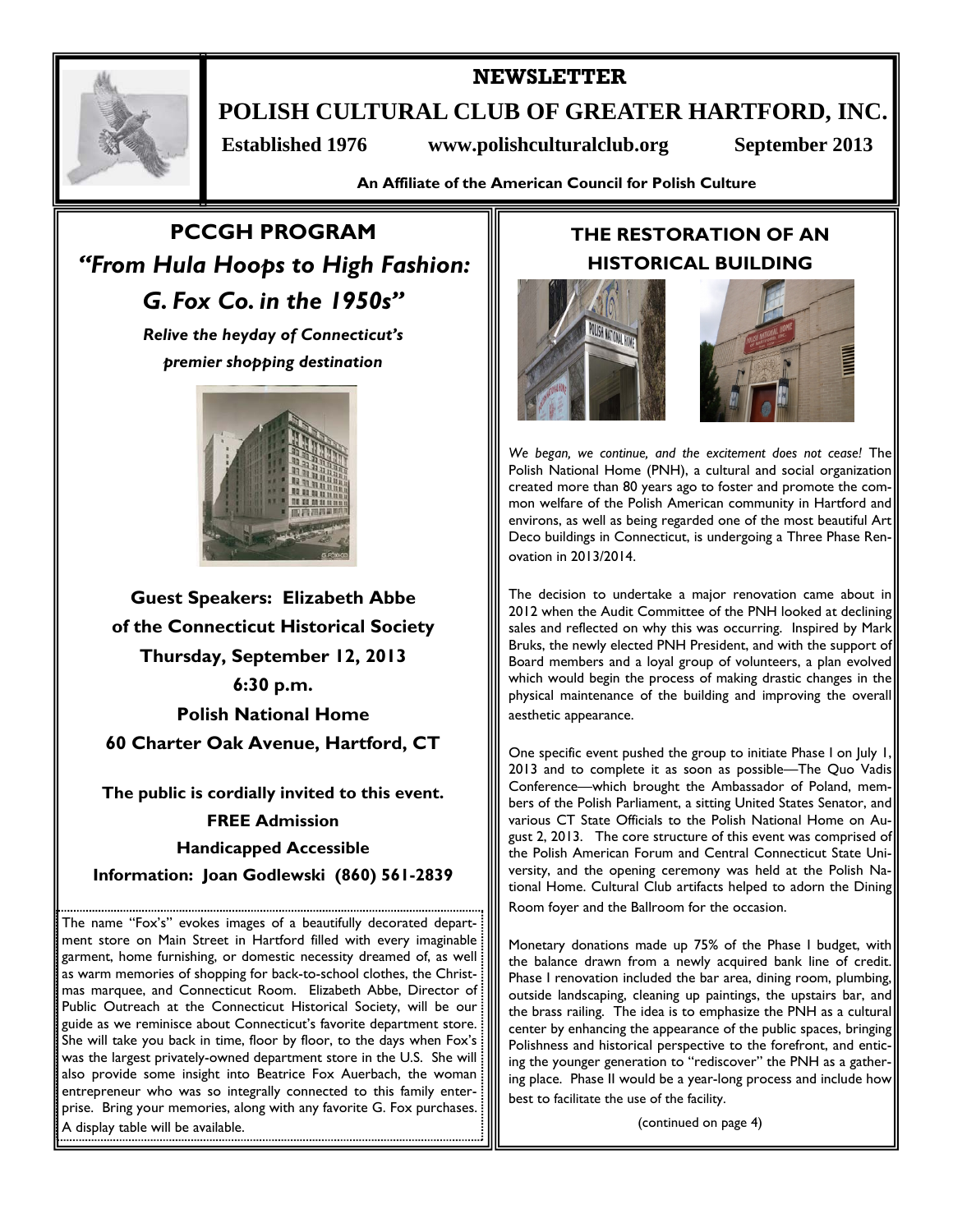

# **NEWSLETTER POLISH CULTURAL CLUB OF GREATER HARTFORD, INC.**

 **Established 1976 www.polishculturalclub.org September 2013** 

**An Affiliate of the American Council for Polish Culture** 

# **PCCGH PROGRAM**  *"From Hula Hoops to High Fashion: G. Fox Co. in the 1950s"*

*Relive the heyday of Connecticut's premier shopping destination* 



**Guest Speakers: Elizabeth Abbe of the Connecticut Historical Society Thursday, September 12, 2013 6:30 p.m. Polish National Home 60 Charter Oak Avenue, Hartford, CT** 

**The public is cordially invited to this event. FREE Admission Handicapped Accessible Information: Joan Godlewski (860) 561-2839** 

The name "Fox's" evokes images of a beautifully decorated department store on Main Street in Hartford filled with every imaginable garment, home furnishing, or domestic necessity dreamed of, as well as warm memories of shopping for back-to-school clothes, the Christmas marquee, and Connecticut Room. Elizabeth Abbe, Director of Public Outreach at the Connecticut Historical Society, will be our guide as we reminisce about Connecticut's favorite department store. She will take you back in time, floor by floor, to the days when Fox's was the largest privately-owned department store in the U.S. She will also provide some insight into Beatrice Fox Auerbach, the woman entrepreneur who was so integrally connected to this family enterprise. Bring your memories, along with any favorite G. Fox purchases. A display table will be available.

# **THE RESTORATION OF AN HISTORICAL BUILDING**





*We began, we continue, and the excitement does not cease!* The Polish National Home (PNH), a cultural and social organization created more than 80 years ago to foster and promote the common welfare of the Polish American community in Hartford and environs, as well as being regarded one of the most beautiful Art Deco buildings in Connecticut, is undergoing a Three Phase Renovation in 2013/2014.

The decision to undertake a major renovation came about in 2012 when the Audit Committee of the PNH looked at declining sales and reflected on why this was occurring. Inspired by Mark Bruks, the newly elected PNH President, and with the support of Board members and a loyal group of volunteers, a plan evolved which would begin the process of making drastic changes in the physical maintenance of the building and improving the overall aesthetic appearance.

One specific event pushed the group to initiate Phase I on July 1, 2013 and to complete it as soon as possible—The Quo Vadis Conference—which brought the Ambassador of Poland, members of the Polish Parliament, a sitting United States Senator, and various CT State Officials to the Polish National Home on August 2, 2013. The core structure of this event was comprised of the Polish American Forum and Central Connecticut State University, and the opening ceremony was held at the Polish National Home. Cultural Club artifacts helped to adorn the Dining Room foyer and the Ballroom for the occasion.

Monetary donations made up 75% of the Phase I budget, with the balance drawn from a newly acquired bank line of credit. Phase I renovation included the bar area, dining room, plumbing, outside landscaping, cleaning up paintings, the upstairs bar, and the brass railing. The idea is to emphasize the PNH as a cultural center by enhancing the appearance of the public spaces, bringing Polishness and historical perspective to the forefront, and enticing the younger generation to "rediscover" the PNH as a gathering place. Phase II would be a year-long process and include how best to facilitate the use of the facility.

(continued on page 4)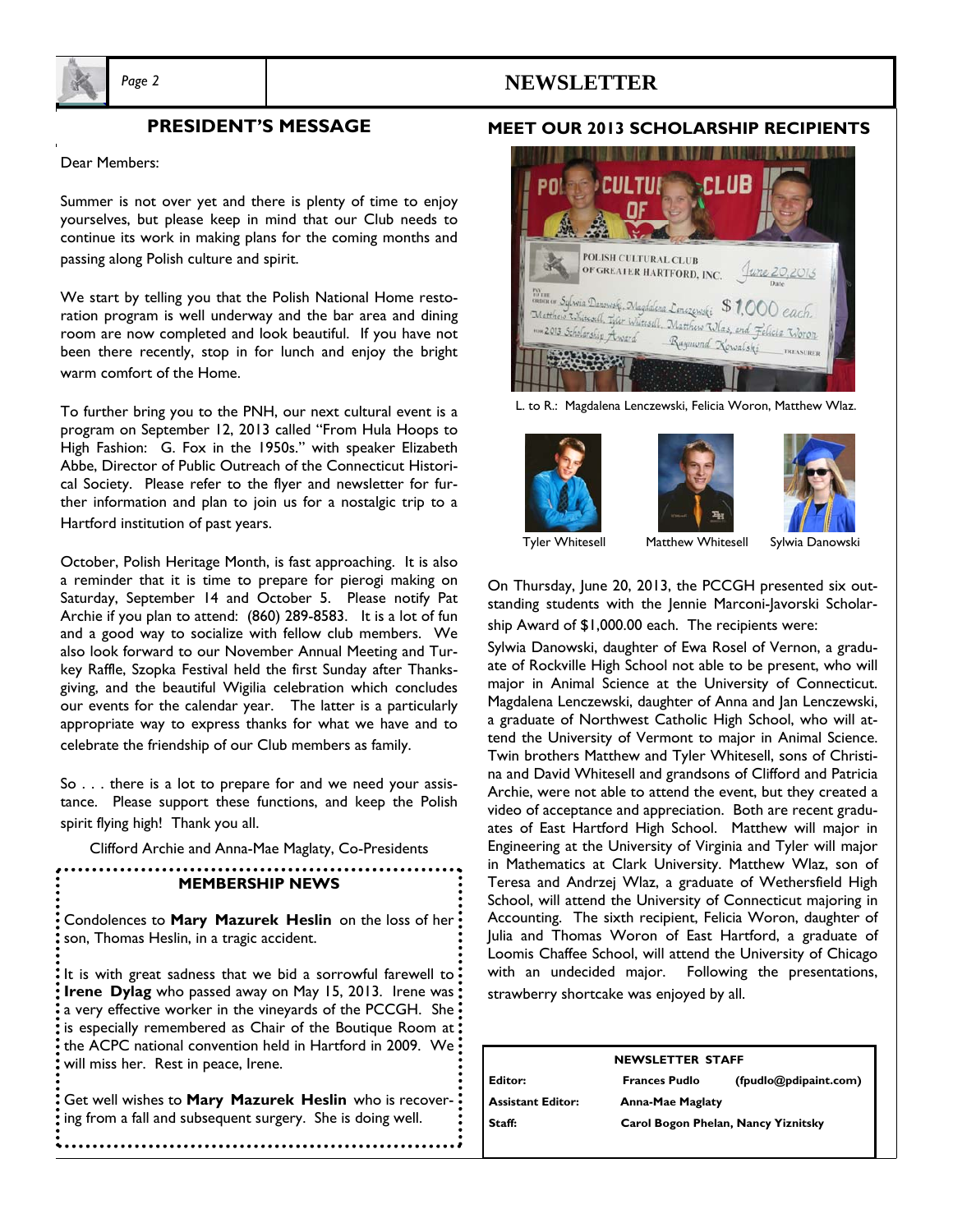

### *Page 2* **NEWSLETTER**

#### **PRESIDENT'S MESSAGE**

Dear Members:

Summer is not over yet and there is plenty of time to enjoy yourselves, but please keep in mind that our Club needs to continue its work in making plans for the coming months and passing along Polish culture and spirit.

We start by telling you that the Polish National Home restoration program is well underway and the bar area and dining room are now completed and look beautiful. If you have not been there recently, stop in for lunch and enjoy the bright warm comfort of the Home.

To further bring you to the PNH, our next cultural event is a program on September 12, 2013 called "From Hula Hoops to High Fashion: G. Fox in the 1950s." with speaker Elizabeth Abbe, Director of Public Outreach of the Connecticut Historical Society. Please refer to the flyer and newsletter for further information and plan to join us for a nostalgic trip to a Hartford institution of past years.

October, Polish Heritage Month, is fast approaching. It is also a reminder that it is time to prepare for pierogi making on Saturday, September 14 and October 5. Please notify Pat Archie if you plan to attend: (860) 289-8583. It is a lot of fun and a good way to socialize with fellow club members. We also look forward to our November Annual Meeting and Turkey Raffle, Szopka Festival held the first Sunday after Thanksgiving, and the beautiful Wigilia celebration which concludes our events for the calendar year. The latter is a particularly appropriate way to express thanks for what we have and to celebrate the friendship of our Club members as family.

So . . . there is a lot to prepare for and we need your assistance. Please support these functions, and keep the Polish spirit flying high! Thank you all.

Clifford Archie and Anna-Mae Maglaty, Co-Presidents

#### **MEMBERSHIP NEWS**

Condolences to **Mary Mazurek Heslin** on the loss of her son, Thomas Heslin, in a tragic accident.

It is with great sadness that we bid a sorrowful farewell to **Irene Dylag** who passed away on May 15, 2013. Irene was a very effective worker in the vineyards of the PCCGH. She is especially remembered as Chair of the Boutique Room at: the ACPC national convention held in Hartford in 2009. We will miss her. Rest in peace, Irene.

Get well wishes to **Mary Mazurek Heslin** who is recovering from a fall and subsequent surgery. She is doing well.

#### **MEET OUR 2013 SCHOLARSHIP RECIPIENTS**



L. to R.: Magdalena Lenczewski, Felicia Woron, Matthew Wlaz.







Tyler Whitesell Matthew Whitesell Sylwia Danowski

On Thursday, June 20, 2013, the PCCGH presented six outstanding students with the Jennie Marconi-Javorski Scholarship Award of \$1,000.00 each. The recipients were:

Sylwia Danowski, daughter of Ewa Rosel of Vernon, a graduate of Rockville High School not able to be present, who will major in Animal Science at the University of Connecticut. Magdalena Lenczewski, daughter of Anna and Jan Lenczewski, a graduate of Northwest Catholic High School, who will attend the University of Vermont to major in Animal Science. Twin brothers Matthew and Tyler Whitesell, sons of Christina and David Whitesell and grandsons of Clifford and Patricia Archie, were not able to attend the event, but they created a video of acceptance and appreciation. Both are recent graduates of East Hartford High School. Matthew will major in Engineering at the University of Virginia and Tyler will major in Mathematics at Clark University. Matthew Wlaz, son of Teresa and Andrzej Wlaz, a graduate of Wethersfield High School, will attend the University of Connecticut majoring in Accounting. The sixth recipient, Felicia Woron, daughter of Julia and Thomas Woron of East Hartford, a graduate of Loomis Chaffee School, will attend the University of Chicago with an undecided major. Following the presentations, strawberry shortcake was enjoyed by all.

|         | <b>NEWSLETTER STAFF</b> |                                      |
|---------|-------------------------|--------------------------------------|
| Editor: | <b>Frances Pudlo</b>    | $(f_{\text{pudlo}}(Q_{\text{pdu}}))$ |

**Assistant Editor: Anna-Mae Maglaty** 

**Staff: Carol Bogon Phelan, Nancy Yiznitsky**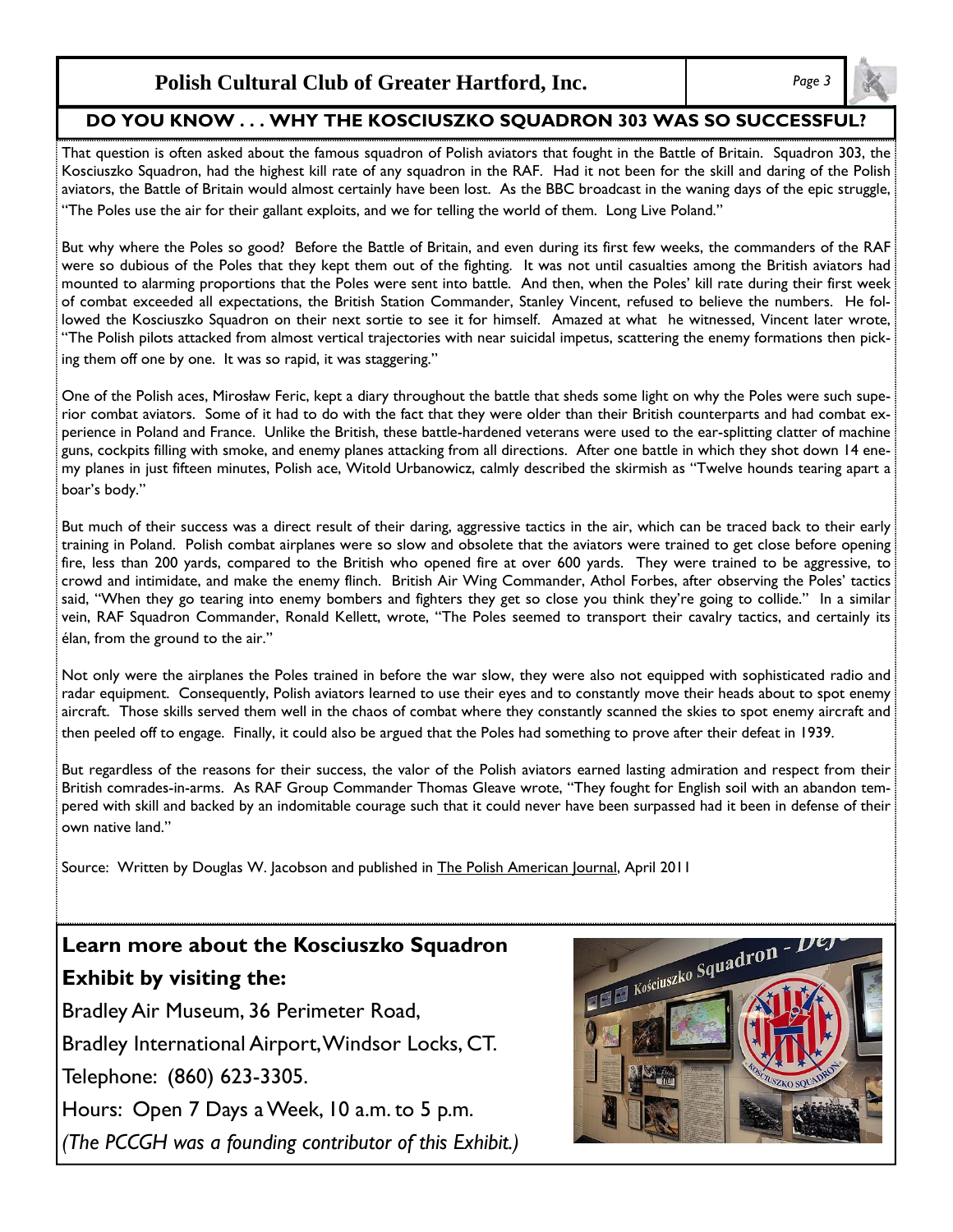### **Polish Cultural Club of Greater Hartford, Inc.** *Page 3*

### **DO YOU KNOW . . . WHY THE KOSCIUSZKO SQUADRON 303 WAS SO SUCCESSFUL?**

That question is often asked about the famous squadron of Polish aviators that fought in the Battle of Britain. Squadron 303, the Kosciuszko Squadron, had the highest kill rate of any squadron in the RAF. Had it not been for the skill and daring of the Polish aviators, the Battle of Britain would almost certainly have been lost. As the BBC broadcast in the waning days of the epic struggle, "The Poles use the air for their gallant exploits, and we for telling the world of them. Long Live Poland."

But why where the Poles so good? Before the Battle of Britain, and even during its first few weeks, the commanders of the RAF were so dubious of the Poles that they kept them out of the fighting. It was not until casualties among the British aviators had mounted to alarming proportions that the Poles were sent into battle. And then, when the Poles' kill rate during their first week of combat exceeded all expectations, the British Station Commander, Stanley Vincent, refused to believe the numbers. He followed the Kosciuszko Squadron on their next sortie to see it for himself. Amazed at what he witnessed, Vincent later wrote, "The Polish pilots attacked from almost vertical trajectories with near suicidal impetus, scattering the enemy formations then picking them off one by one. It was so rapid, it was staggering."

One of the Polish aces, Mirosław Feric, kept a diary throughout the battle that sheds some light on why the Poles were such superior combat aviators. Some of it had to do with the fact that they were older than their British counterparts and had combat experience in Poland and France. Unlike the British, these battle-hardened veterans were used to the ear-splitting clatter of machine guns, cockpits filling with smoke, and enemy planes attacking from all directions. After one battle in which they shot down 14 enemy planes in just fifteen minutes, Polish ace, Witold Urbanowicz, calmly described the skirmish as "Twelve hounds tearing apart a boar's body."

But much of their success was a direct result of their daring, aggressive tactics in the air, which can be traced back to their early training in Poland. Polish combat airplanes were so slow and obsolete that the aviators were trained to get close before opening fire, less than 200 yards, compared to the British who opened fire at over 600 yards. They were trained to be aggressive, to crowd and intimidate, and make the enemy flinch. British Air Wing Commander, Athol Forbes, after observing the Poles' tactics said, "When they go tearing into enemy bombers and fighters they get so close you think they're going to collide." In a similar vein, RAF Squadron Commander, Ronald Kellett, wrote, "The Poles seemed to transport their cavalry tactics, and certainly its élan, from the ground to the air."

Not only were the airplanes the Poles trained in before the war slow, they were also not equipped with sophisticated radio and radar equipment. Consequently, Polish aviators learned to use their eyes and to constantly move their heads about to spot enemy aircraft. Those skills served them well in the chaos of combat where they constantly scanned the skies to spot enemy aircraft and then peeled off to engage. Finally, it could also be argued that the Poles had something to prove after their defeat in 1939.

But regardless of the reasons for their success, the valor of the Polish aviators earned lasting admiration and respect from their British comrades-in-arms. As RAF Group Commander Thomas Gleave wrote, "They fought for English soil with an abandon tempered with skill and backed by an indomitable courage such that it could never have been surpassed had it been in defense of their own native land."

Source: Written by Douglas W. Jacobson and published in The Polish American Journal, April 2011

## **Learn more about the Kosciuszko Squadron**

### **Exhibit by visiting the:**

Bradley Air Museum, 36 Perimeter Road,

Bradley International Airport, Windsor Locks, CT.

Telephone: (860) 623-3305.

Hours: Open 7 Days a Week, 10 a.m. to 5 p.m.

*(The PCCGH was a founding contributor of this Exhibit.)*